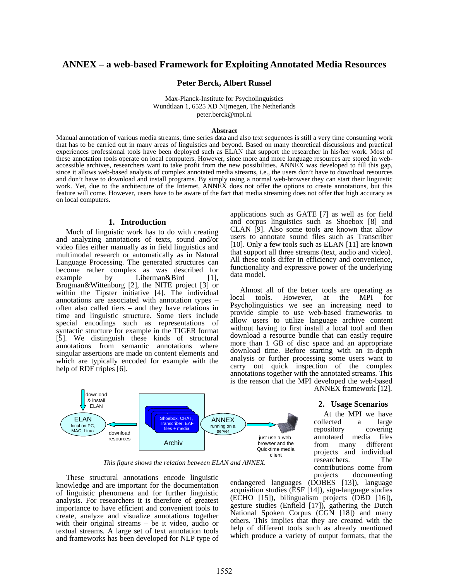# **ANNEX – a web-based Framework for Exploiting Annotated Media Resources**

### **Peter Berck, Albert Russel**

Max-Planck-Institute for Psycholinguistics Wundtlaan 1, 6525 XD Nijmegen, The Netherlands peter.berck@mpi.nl

#### **Abstract**

Manual annotation of various media streams, time series data and also text sequences is still a very time consuming work that has to be carried out in many areas of linguistics and beyond. Based on many theoretical discussions and practical experiences professional tools have been deployed such as ELAN that support the researcher in his/her work. Most of these annotation tools operate on local computers. However, since more and more language resources are stored in webaccessible archives, researchers want to take profit from the new possibilities. ANNEX was developed to fill this gap, since it allows web-based analysis of complex annotated media streams, i.e., the users don't have to download resources and don't have to download and install programs. By simply using a normal web-browser they can start their linguistic work. Yet, due to the architecture of the Internet, ANNEX does not offer the options to create annotations, but this feature will come. However, users have to be aware of the fact that media streaming does not offer that high accuracy as on local computers.

#### **1. Introduction**

Much of linguistic work has to do with creating and analyzing annotations of texts, sound and/or video files either manually as in field linguistics and multimodal research or automatically as in Natural Language Processing. The generated structures can become rather complex as was described for example by Liberman&Bird [1], Brugman&Wittenburg [2], the NITE project [3] or within the Tipster initiative [4]. The individual annotations are associated with annotation types – often also called tiers – and they have relations in time and linguistic structure. Some tiers include special encodings such as representations of syntactic structure for example in the TIGER format [5]. We distinguish these kinds of structural annotations from semantic annotations where singular assertions are made on content elements and which are typically encoded for example with the help of RDF triples [6].

applications such as GATE [7] as well as for field and corpus linguistics such as Shoebox [8] and CLAN [9]. Also some tools are known that allow users to annotate sound files such as Transcriber [10]. Only a few tools such as ELAN [11] are known that support all three streams (text, audio and video). All these tools differ in efficiency and convenience, functionality and expressive power of the underlying data model.

Almost all of the better tools are operating as local tools. However, at the MPI for Psycholinguistics we see an increasing need to provide simple to use web-based frameworks to allow users to utilize language archive content without having to first install a local tool and then download a resource bundle that can easily require more than 1 GB of disc space and an appropriate download time. Before starting with an in-depth analysis or further processing some users want to carry out quick inspection of the complex annotations together with the annotated streams. This is the reason that the MPI developed the web-based ANNEX framework [12].

> **2. Usage Scenarios**  At the MPI we have collected a large repository covering annotated media files from many different projects and individual researchers. The contributions come from



*This figure shows the relation between ELAN and ANNEX.* 

These structural annotations encode linguistic knowledge and are important for the documentation of linguistic phenomena and for further linguistic analysis. For researchers it is therefore of greatest importance to have efficient and convenient tools to create, analyze and visualize annotations together with their original streams – be it video, audio or textual streams. A large set of text annotation tools and frameworks has been developed for NLP type of

projects documenting endangered languages (DOBES [13]), language acquisition studies (ESF [14]), sign-language studies (ECHO [15]), bilingualism projects (DBD [16]), gesture studies (Enfield [17]), gathering the Dutch National Spoken Corpus (CGN [18]) and many others. This implies that they are created with the help of different tools such as already mentioned which produce a variety of output formats, that the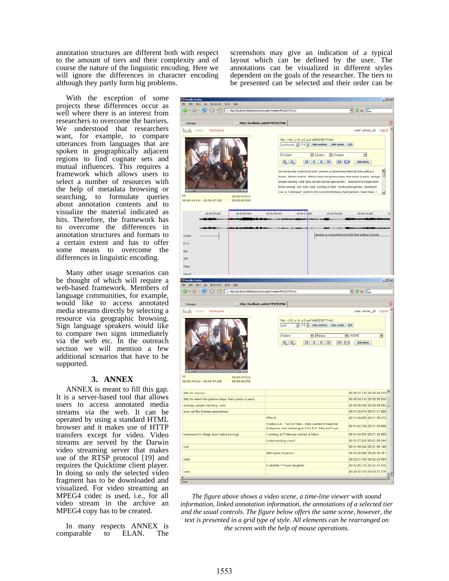annotation structures are different both with respect to the amount of tiers and their complexity and of course the nature of the linguistic encoding. Here we will ignore the differences in character encoding although they partly form big problems.

With the exception of some projects these differences occur as well where there is an interest from researchers to overcome the barriers. We understood that researchers want, for example, to compare utterances from languages that are spoken in geographically adjacent regions to find cognate sets and mutual influences. This requires a framework which allows users to select a number of resources with the help of metadata browsing or searching, to formulate queries about annotation contents and to visualize the material indicated as hits. Therefore, the framework has to overcome the differences in annotation structures and formats to a certain extent and has to offer some means to overcome the differences in linguistic encoding.

Many other usage scenarios can be thought of which will require a web-based framework. Members of language communities, for example, would like to access annotated media streams directly by selecting a resource via geographic browsing. Sign language speakers would like to compare two signs immediately via the web etc. In the outreach section we will mention a few additional scenarios that have to be supported.

### **3. ANNEX**

ANNEX is meant to fill this gap. It is a server-based tool that allows users to access annotated media streams via the web. It can be operated by using a standard HTML browser and it makes use of HTTP transfers except for video. Video streams are served by the Darwin video streaming server that makes use of the RTSP protocol [19] and requires the Quicktime client player. In doing so only the selected video fragment has to be downloaded and visualized. For video streaming an MPEG4 codec is used, i.e., for all video stream in the archive an MPEG4 copy has to be created.

In many respects ANNEX is comparable to ELAN. The screenshots may give an indication of a typical layout which can be defined by the user. The annotations can be visualized in different styles dependent on the goals of the researcher. The tiers to be presented can be selected and their order can be



*The figure above shows a video scene, a time-line viewer with sound information, linked annotation information, the annotations of a selected tier and the usual controls. The figure below offers the same scene, however, the text is presented in a grid type of style. All elements can be rearranged on the screen with the help of mouse operations.*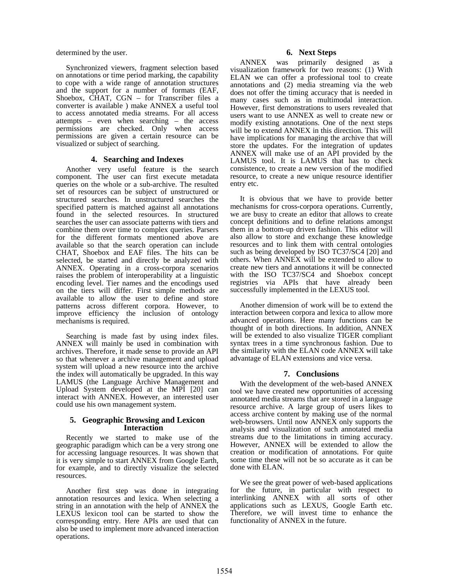determined by the user.

Synchronized viewers, fragment selection based on annotations or time period marking, the capability to cope with a wide range of annotation structures and the support for a number of formats (EAF, Shoebox, CHAT, CGN – for Transcriber files a converter is available ) make ANNEX a useful tool to access annotated media streams. For all access attempts – even when searching – the access permissions are checked. Only when access permissions are given a certain resource can be visualized or subject of searching.

## **4. Searching and Indexes**

Another very useful feature is the search component. The user can first execute metadata queries on the whole or a sub-archive. The resulted set of resources can be subject of unstructured or structured searches. In unstructured searches the specified pattern is matched against all annotations found in the selected resources. In structured searches the user can associate patterns with tiers and combine them over time to complex queries. Parsers for the different formats mentioned above are available so that the search operation can include CHAT, Shoebox and EAF files. The hits can be selected, be started and directly be analyzed with ANNEX. Operating in a cross-corpora scenarios raises the problem of interoperability at a linguistic encoding level. Tier names and the encodings used on the tiers will differ. First simple methods are available to allow the user to define and store patterns across different corpora. However, to improve efficiency the inclusion of ontology mechanisms is required.

Searching is made fast by using index files. ANNEX will mainly be used in combination with archives. Therefore, it made sense to provide an API so that whenever a archive management and upload system will upload a new resource into the archive the index will automatically be upgraded. In this way LAMUS (the Language Archive Management and Upload System developed at the MPI [20] can interact with ANNEX. However, an interested user could use his own management system.

### **5. Geographic Browsing and Lexicon Interaction**

Recently we started to make use of the geographic paradigm which can be a very strong one for accessing language resources. It was shown that it is very simple to start ANNEX from Google Earth, for example, and to directly visualize the selected resources.

Another first step was done in integrating annotation resources and lexica. When selecting a string in an annotation with the help of ANNEX the LEXUS lexicon tool can be started to show the corresponding entry. Here APIs are used that can also be used to implement more advanced interaction operations.

## **6. Next Steps**

ANNEX was primarily designed as visualization framework for two reasons: (1) With ELAN we can offer a professional tool to create annotations and (2) media streaming via the web does not offer the timing accuracy that is needed in many cases such as in multimodal interaction. However, first demonstrations to users revealed that users want to use ANNEX as well to create new or modify existing annotations. One of the next steps will be to extend ANNEX in this direction. This will have implications for managing the archive that will store the updates. For the integration of updates ANNEX will make use of an API provided by the LAMUS tool. It is LAMUS that has to check consistence, to create a new version of the modified resource, to create a new unique resource identifier entry etc.

It is obvious that we have to provide better mechanisms for cross-corpora operations. Currently, we are busy to create an editor that allows to create concept definitions and to define relations amongst them in a bottom-up driven fashion. This editor will also allow to store and exchange these knowledge resources and to link them with central ontologies such as being developed by ISO TC37/SC4 [20] and others. When ANNEX will be extended to allow to create new tiers and annotations it will be connected with the ISO TC37/SC4 and Shoebox concept registries via APIs that have already been successfully implemented in the LEXUS tool.

Another dimension of work will be to extend the interaction between corpora and lexica to allow more advanced operations. Here many functions can be thought of in both directions. In addition, ANNEX will be extended to also visualize TIGER compliant syntax trees in a time synchronous fashion. Due to the similarity with the ELAN code ANNEX will take advantage of ELAN extensions and vice versa.

## **7. Conclusions**

With the development of the web-based ANNEX tool we have created new opportunities of accessing annotated media streams that are stored in a language resource archive. A large group of users likes to access archive content by making use of the normal web-browsers. Until now ANNEX only supports the analysis and visualization of such annotated media streams due to the limitations in timing accuracy. However, ANNEX will be extended to allow the creation or modification of annotations. For quite some time these will not be so accurate as it can be done with ELAN.

We see the great power of web-based applications for the future, in particular with respect to interlinking ANNEX with all sorts of other applications such as LEXUS, Google Earth etc. Therefore, we will invest time to enhance the functionality of ANNEX in the future.